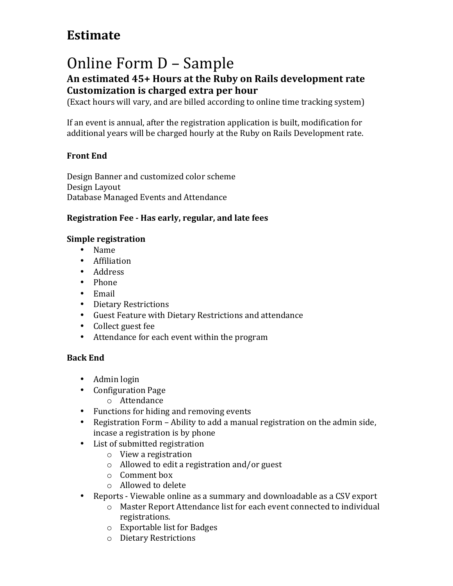## **Estimate**

# Online Form D - Sample

### An estimated 45+ Hours at the Ruby on Rails development rate **Customization is charged extra per hour**

(Exact hours will vary, and are billed according to online time tracking system)

If an event is annual, after the registration application is built, modification for additional years will be charged hourly at the Ruby on Rails Development rate.

#### **Front End**

Design Banner and customized color scheme Design Layout Database Managed Events and Attendance

#### **Registration Fee - Has early, regular, and late fees**

#### **Simple registration**

- Name
- Affiliation
- Address
- Phone
- Email
- Dietary Restrictions
- Guest Feature with Dietary Restrictions and attendance
- Collect guest fee
- Attendance for each event within the program

#### **Back End**

- Admin login
- Configuration Page
	- o Attendance
- Functions for hiding and removing events
- Registration Form Ability to add a manual registration on the admin side, incase a registration is by phone
- List of submitted registration
	- $\circ$  View a registration
	- $\circ$  Allowed to edit a registration and/or guest
	- $\circ$  Comment box
	- $\circ$  Allowed to delete
- Reports Viewable online as a summary and downloadable as a CSV export
	- o Master Report Attendance list for each event connected to individual registrations.
	- $\circ$  Exportable list for Badges
	- o Dietary Restrictions